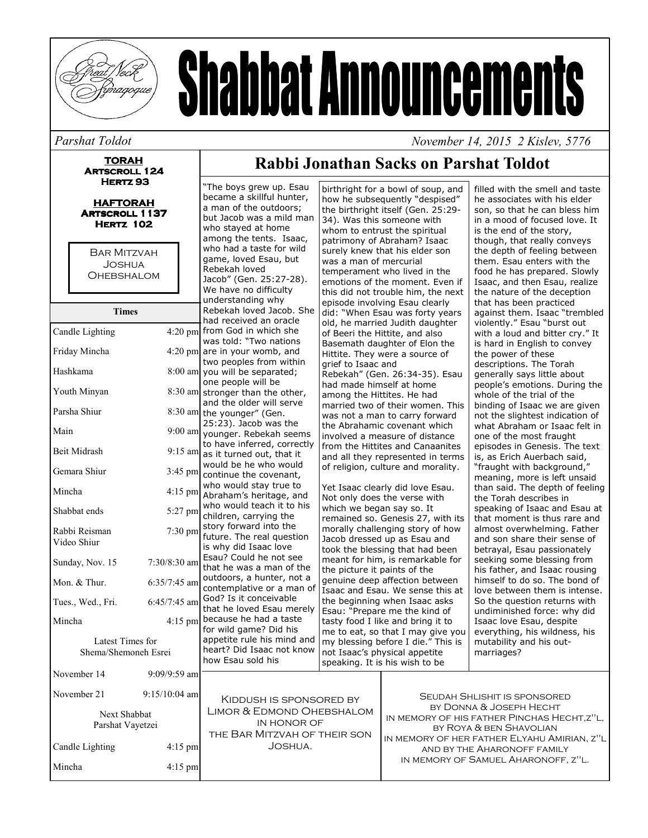

# **Shabbat Announcements**

#### Parshat Toldot

**TORAH ARTSCROLL 124** HERTZ<sub>93</sub>

**HAFTORAH ARTSCROLL 1137 HERTZ 102** 

**BAR MITZVAH JOSHUA OHEBSHALOM** 

| <b>Times</b>                             |                 |
|------------------------------------------|-----------------|
| Candle Lighting                          | $4:20$ pm       |
| Friday Mincha                            | $4:20$ pm       |
| Hashkama                                 | $8:00$ am       |
| Youth Minyan                             | 8:30 am         |
| Parsha Shiur                             | 8:30 am         |
| Main                                     | $9:00$ am       |
| <b>Beit Midrash</b>                      | $9:15$ am       |
| Gemara Shiur                             | $3:45$ pm       |
| Mincha                                   | 4:15 pm         |
| Shabbat ends                             | 5:27 pm         |
| Rabbi Reisman<br>Video Shiur             | 7:30 pm         |
| Sunday, Nov. 15                          | $7:30/8:30$ am  |
| Mon. & Thur.                             | $6:35/7:45$ am  |
| Tues., Wed., Fri.                        | $6:45/7:45$ am  |
| Mincha                                   | 4:15 pm         |
| Latest Times for<br>Shema/Shemoneh Esrei |                 |
| November 14                              | 9:09/9:59 am    |
| November 21                              | $9:15/10:04$ am |
| <b>Next Shabbat</b><br>Parshat Vavetzei  |                 |

### Rabbi Jonathan Sacks on Parshat Toldot

"The boys grew up. Esau birthright for a bowl of soup, and became a skillful hunter. a man of the outdoors: but Jacob was a mild man who stayed at home among the tents. Isaac. who had a taste for wild game, loved Esau, but Rebekah loved Jacob" (Gen. 25:27-28). We have no difficulty understanding why Rebekah loved Jacob. She had received an oracle m from God in which she was told: "Two nations  $m$ are in your womb, and two peoples from within m you will be separated; one people will be m stronger than the other, and the older will serve m the younger" (Gen. 25:23). Jacob was the m younger. Rebekah seems to have inferred, correctly m as it turned out, that it would be he who would m continue the covenant. who would stay true to m Abraham's heritage, and who would teach it to his m children, carrying the story forward into the m future. The real question is why did Isaac love Esau? Could he not see m that he was a man of the outdoors, a hunter, not a m contemplative or a man of God? Is it conceivable m that he loved Esau merely because he had a taste m for wild game? Did his appetite rule his mind and heart? Did Isaac not know not Isaac's physical appetite how Esau sold his speaking. It is his wish to be

how he subsequently "despised" the birthright itself (Gen. 25:29-34). Was this someone with whom to entrust the spiritual patrimony of Abraham? Isaac surely knew that his elder son was a man of mercurial temperament who lived in the emotions of the moment. Even if this did not trouble him, the next episode involving Esau clearly did: "When Esau was forty years old, he married Judith daughter of Beeri the Hittite, and also Basemath daughter of Elon the Hittite. They were a source of grief to Isaac and Rebekah" (Gen. 26:34-35). Esau had made himself at home among the Hittites. He had married two of their women. This was not a man to carry forward the Abrahamic covenant which involved a measure of distance from the Hittites and Canaanites and all they represented in terms of religion, culture and morality. Yet Isaac clearly did love Esau. Not only does the verse with which we began say so. It remained so. Genesis 27, with its morally challenging story of how Jacob dressed up as Esau and took the blessing that had been meant for him, is remarkable for the picture it paints of the

descriptions. The Torah generally says little about people's emotions. During the whole of the trial of the binding of Isaac we are given not the slightest indication of what Abraham or Isaac felt in one of the most fraught episodes in Genesis. The text is, as Erich Auerbach said, "fraught with background," meaning, more is left unsaid than said. The depth of feeling the Torah describes in speaking of Isaac and Esau at that moment is thus rare and almost overwhelming. Father and son share their sense of betrayal, Esau passionately seeking some blessing from his father, and Isaac rousing genuine deep affection between himself to do so. The bond of Isaac and Esau. We sense this at love between them is intense. the beginning when Isaac asks So the question returns with Esau: "Prepare me the kind of undiminished force: why did tasty food I like and bring it to Isaac love Esau, despite me to eat, so that I may give you everything, his wildness, his my blessing before I die." This is mutability and his outmarriages?

November 14, 2015 2 Kisley, 5776

filled with the smell and taste

son, so that he can bless him

in a mood of focused love. It

though, that really conveys

them. Esau enters with the

the depth of feeling between

food he has prepared. Slowly

Isaac, and then Esau, realize

against them. Isaac "trembled

with a loud and bitter cry." It

is hard in English to convey

the nature of the deception

violently." Esau "burst out

that has been practiced

the power of these

is the end of the story,

he associates with his elder

m **SEUDAH SHLISHIT IS SPONSORED** KIDDUSH IS SPONSORED BY BY DONNA & JOSEPH HECHT LIMOR & EDMOND OHEBSHALOM IN MEMORY OF HIS FATHER PINCHAS HECHT, Z"L, IN HONOR OF BY ROYA & BEN SHAVOLIAN THE BAR MITZVAH OF THEIR SON IN MEMORY OF HER FATHER ELYAHU AMIRIAN, Z"L JOSHUA. Candle Lighting  $4:15$  pm AND BY THE AHARONOFF FAMILY IN MEMORY OF SAMUEL AHARONOFF, Z"L. Mincha  $4:15$  pm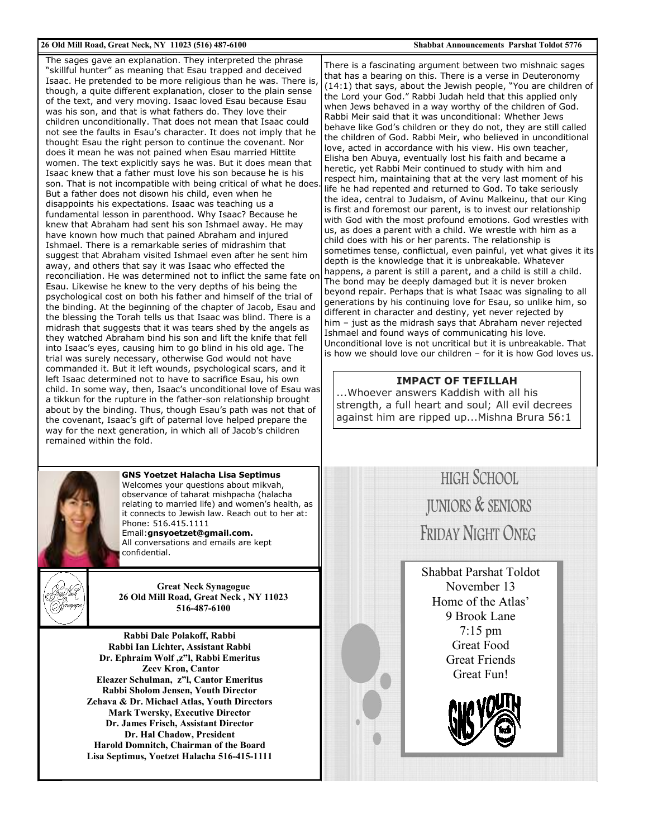#### 26 Old Mill Road, Great Neck, NY 11023 (516) 487-6100

The sages gave an explanation. They interpreted the phrase "skillful hunter" as meaning that Esau trapped and deceived Isaac. He pretended to be more religious than he was. There is, though, a quite different explanation, closer to the plain sense of the text, and very moving. Isaac loved Esau because Esau was his son, and that is what fathers do. They love their children unconditionally. That does not mean that Isaac could not see the faults in Esau's character. It does not imply that he thought Esau the right person to continue the covenant. Nor does it mean he was not pained when Esau married Hittite women. The text explicitly says he was. But it does mean that Isaac knew that a father must love his son because he is his son. That is not incompatible with being critical of what he does. But a father does not disown his child, even when he disappoints his expectations. Isaac was teaching us a fundamental lesson in parenthood. Why Isaac? Because he knew that Abraham had sent his son Ishmael away. He may have known how much that pained Abraham and injured Ishmael. There is a remarkable series of midrashim that suggest that Abraham visited Ishmael even after he sent him away, and others that say it was Isaac who effected the reconciliation. He was determined not to inflict the same fate on Esau. Likewise he knew to the very depths of his being the psychological cost on both his father and himself of the trial of the binding. At the beginning of the chapter of Jacob, Esau and the blessing the Torah tells us that Isaac was blind. There is a midrash that suggests that it was tears shed by the angels as they watched Abraham bind his son and lift the knife that fell into Isaac's eyes, causing him to go blind in his old age. The trial was surely necessary, otherwise God would not have commanded it. But it left wounds, psychological scars, and it left Isaac determined not to have to sacrifice Esau, his own child. In some way, then, Isaac's unconditional love of Esau was a tikkun for the rupture in the father-son relationship brought about by the binding. Thus, though Esau's path was not that of the covenant, Isaac's gift of paternal love helped prepare the way for the next generation, in which all of Jacob's children remained within the fold



**GNS Yoetzet Halacha Lisa Septimus** Welcomes your questions about mikvah, observance of taharat mishpacha (halacha relating to married life) and women's health, as it connects to Jewish law. Reach out to her at: Phone: 516 415 1111 Email:gnsyoetzet@gmail.com.

All conversations and emails are kept confidential.



**Great Neck Synagogue** 26 Old Mill Road, Great Neck, NY 11023 516-487-6100

Rabbi Dale Polakoff, Rabbi Rabbi Ian Lichter, Assistant Rabbi Dr. Ephraim Wolf, z"l, Rabbi Emeritus **Zeev Kron, Cantor** Eleazer Schulman, z"l. Cantor Emeritus Rabbi Sholom Jensen, Youth Director Zehava & Dr. Michael Atlas, Youth Directors **Mark Twersky, Executive Director** Dr. James Frisch, Assistant Director Dr. Hal Chadow, President Harold Domnitch, Chairman of the Board Lisa Septimus, Yoetzet Halacha 516-415-1111 There is a fascinating argument between two mishnaic sages that has a bearing on this. There is a verse in Deuteronomy (14:1) that says, about the Jewish people, "You are children of the Lord your God." Rabbi Judah held that this applied only when Jews behaved in a way worthy of the children of God. Rabbi Meir said that it was unconditional: Whether Jews behave like God's children or they do not, they are still called the children of God. Rabbi Meir, who believed in unconditional love, acted in accordance with his view. His own teacher, Elisha ben Abuya, eventually lost his faith and became a heretic, yet Rabbi Meir continued to study with him and respect him, maintaining that at the very last moment of his life he had repented and returned to God. To take seriously the idea, central to Judaism, of Avinu Malkeinu, that our King is first and foremost our parent, is to invest our relationship with God with the most profound emotions. God wrestles with us, as does a parent with a child. We wrestle with him as a child does with his or her parents. The relationship is sometimes tense, conflictual, even painful, yet what gives it its depth is the knowledge that it is unbreakable. Whatever happens, a parent is still a parent, and a child is still a child. The bond may be deeply damaged but it is never broken beyond repair. Perhaps that is what Isaac was signaling to all generations by his continuing love for Esau, so unlike him, so different in character and destiny, yet never rejected by him - just as the midrash says that Abraham never rejected Ishmael and found ways of communicating his love. Unconditional love is not uncritical but it is unbreakable. That is how we should love our children - for it is how God loves us.

#### **IMPACT OF TEFILLAH**

...Whoever answers Kaddish with all his strength, a full heart and soul; All evil decrees against him are ripped up...Mishna Brura 56:1



Shabbat Parshat Toldot November 13 Home of the Atlas' 9 Brook Lane  $7:15$  pm **Great Food Great Friends** Great Fun!

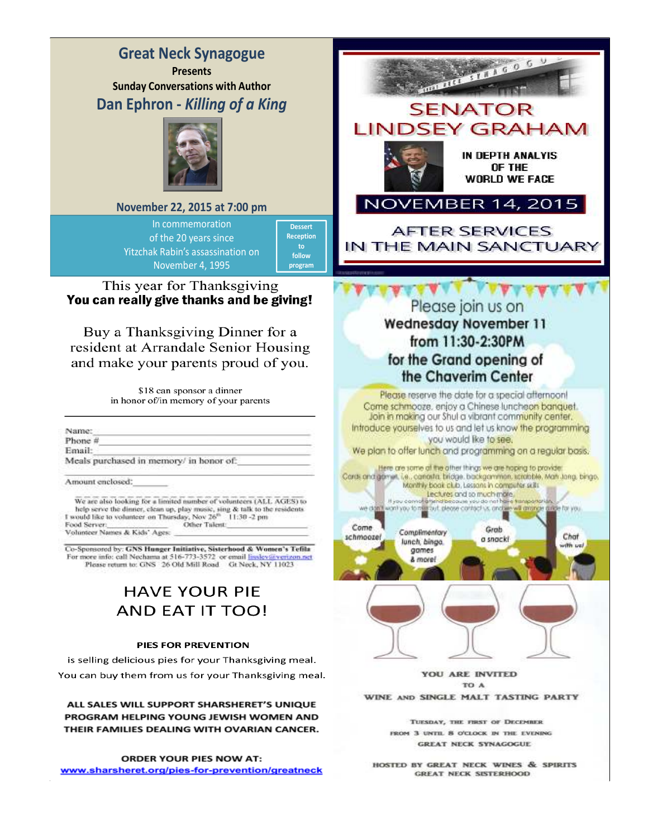